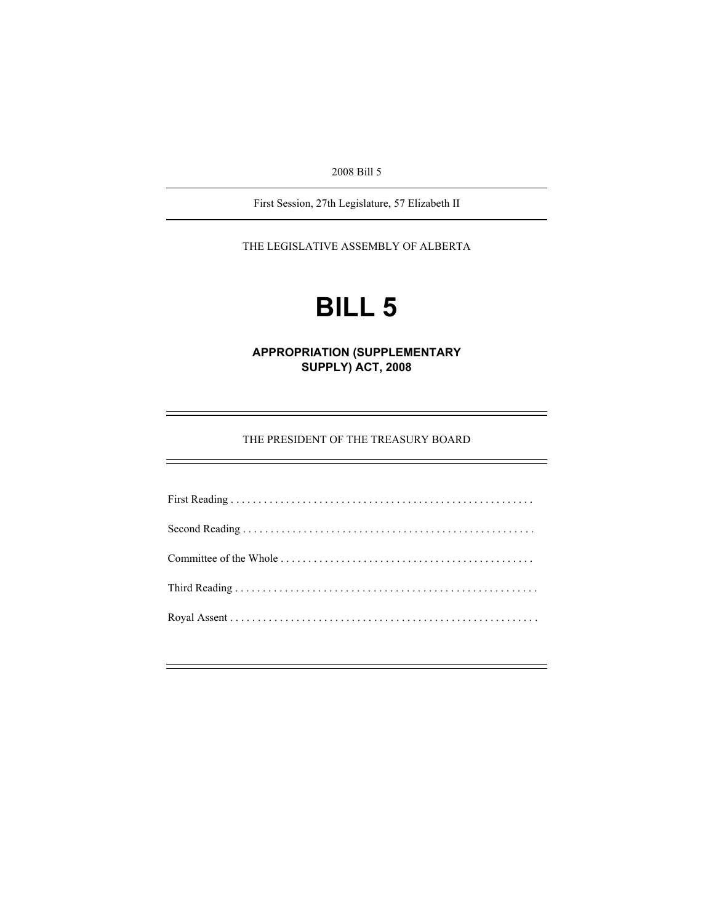2008 Bill 5

First Session, 27th Legislature, 57 Elizabeth II

THE LEGISLATIVE ASSEMBLY OF ALBERTA

# **BILL 5**

**APPROPRIATION (SUPPLEMENTARY SUPPLY) ACT, 2008** 

THE PRESIDENT OF THE TREASURY BOARD

First Reading . . . . . . . . . . . . . . . . . . . . . . . . . . . . . . . . . . . . . . . . . . . . . . . . . . . . . . . Second Reading . . . . . . . . . . . . . . . . . . . . . . . . . . . . . . . . . . . . . . . . . . . . . . . . . . . . . Committee of the Whole . . . . . . . . . . . . . . . . . . . . . . . . . . . . . . . . . . . . . . . . . . . . . . Third Reading . . . . . . . . . . . . . . . . . . . . . . . . . . . . . . . . . . . . . . . . . . . . . . . . . . . . . . . Royal Assent . . . . . . . . . . . . . . . . . . . . . . . . . . . . . . . . . . . . . . . . . . . . . . . . . . . . . . . .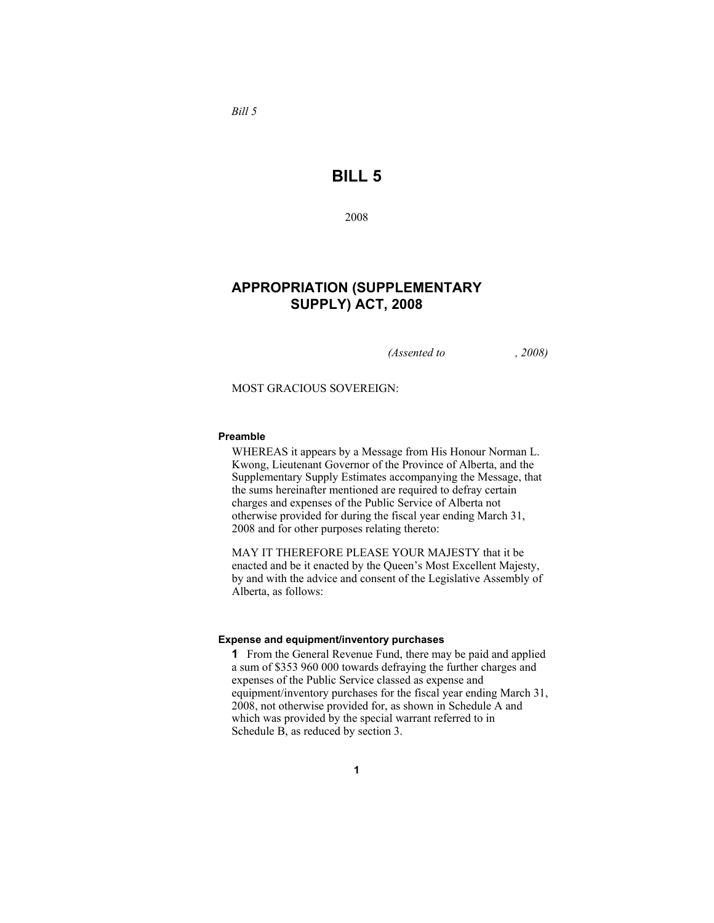*Bill 5* 

# **BILL 5**

2008

# **APPROPRIATION (SUPPLEMENTARY SUPPLY) ACT, 2008**

*(Assented to , 2008)* 

#### MOST GRACIOUS SOVEREIGN:

#### **Preamble**

WHEREAS it appears by a Message from His Honour Norman L. Kwong, Lieutenant Governor of the Province of Alberta, and the Supplementary Supply Estimates accompanying the Message, that the sums hereinafter mentioned are required to defray certain charges and expenses of the Public Service of Alberta not otherwise provided for during the fiscal year ending March 31, 2008 and for other purposes relating thereto:

MAY IT THEREFORE PLEASE YOUR MAJESTY that it be enacted and be it enacted by the Queen's Most Excellent Majesty, by and with the advice and consent of the Legislative Assembly of Alberta, as follows:

#### **Expense and equipment/inventory purchases**

**1** From the General Revenue Fund, there may be paid and applied a sum of \$353 960 000 towards defraying the further charges and expenses of the Public Service classed as expense and equipment/inventory purchases for the fiscal year ending March 31, 2008, not otherwise provided for, as shown in Schedule A and which was provided by the special warrant referred to in Schedule B, as reduced by section 3.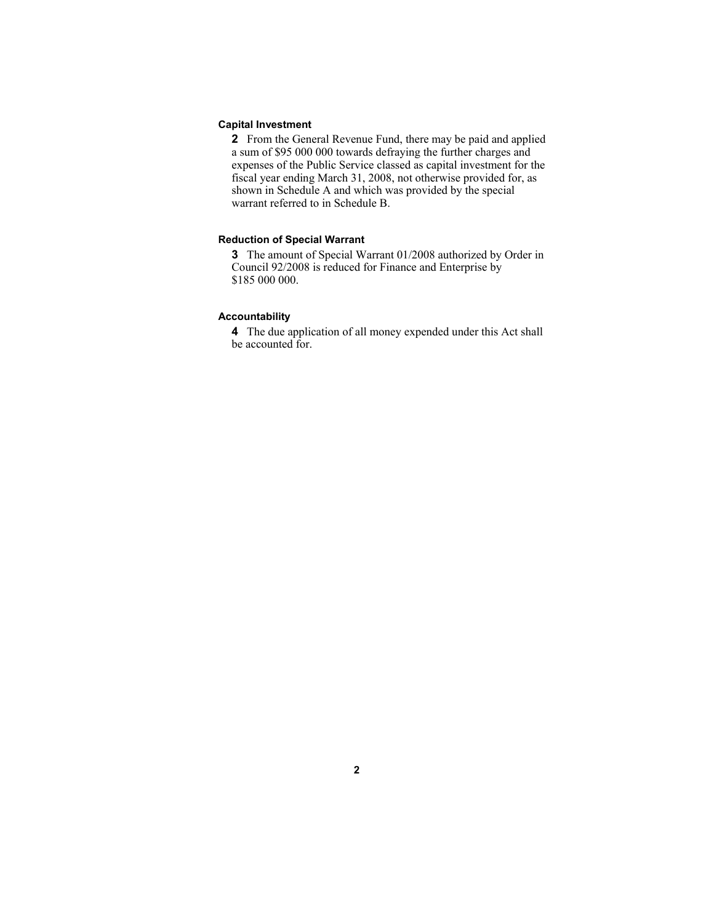## **Capital Investment**

**2** From the General Revenue Fund, there may be paid and applied a sum of \$95 000 000 towards defraying the further charges and expenses of the Public Service classed as capital investment for the fiscal year ending March 31, 2008, not otherwise provided for, as shown in Schedule A and which was provided by the special warrant referred to in Schedule B.

## **Reduction of Special Warrant**

**3** The amount of Special Warrant 01/2008 authorized by Order in Council 92/2008 is reduced for Finance and Enterprise by \$185 000 000.

## **Accountability**

**4** The due application of all money expended under this Act shall be accounted for.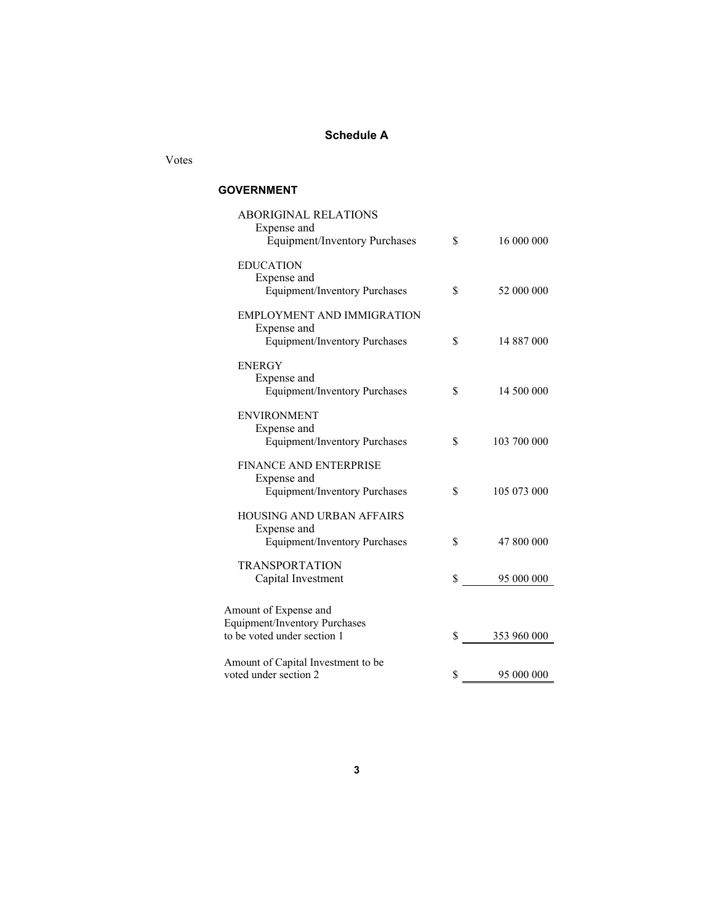## **Schedule A**

Votes

## **GOVERNMENT**

| <b>ABORIGINAL RELATIONS</b><br>Expense and                          |                   |
|---------------------------------------------------------------------|-------------------|
| <b>Equipment/Inventory Purchases</b>                                | \$<br>16 000 000  |
| <b>EDUCATION</b>                                                    |                   |
| Expense and<br><b>Equipment/Inventory Purchases</b>                 | \$<br>52 000 000  |
| <b>EMPLOYMENT AND IMMIGRATION</b>                                   |                   |
| Expense and<br><b>Equipment/Inventory Purchases</b>                 | \$<br>14 887 000  |
| <b>ENERGY</b>                                                       |                   |
| Expense and<br><b>Equipment/Inventory Purchases</b>                 | \$<br>14 500 000  |
| <b>ENVIRONMENT</b>                                                  |                   |
| Expense and<br><b>Equipment/Inventory Purchases</b>                 | \$<br>103 700 000 |
| FINANCE AND ENTERPRISE                                              |                   |
| Expense and<br><b>Equipment/Inventory Purchases</b>                 | \$<br>105 073 000 |
| <b>HOUSING AND URBAN AFFAIRS</b>                                    |                   |
| Expense and<br><b>Equipment/Inventory Purchases</b>                 | \$<br>47 800 000  |
| <b>TRANSPORTATION</b>                                               |                   |
| Capital Investment                                                  | \$<br>95 000 000  |
| Amount of Expense and                                               |                   |
| <b>Equipment/Inventory Purchases</b><br>to be voted under section 1 | \$<br>353 960 000 |
| Amount of Capital Investment to be                                  |                   |
| voted under section 2                                               | \$<br>95 000 000  |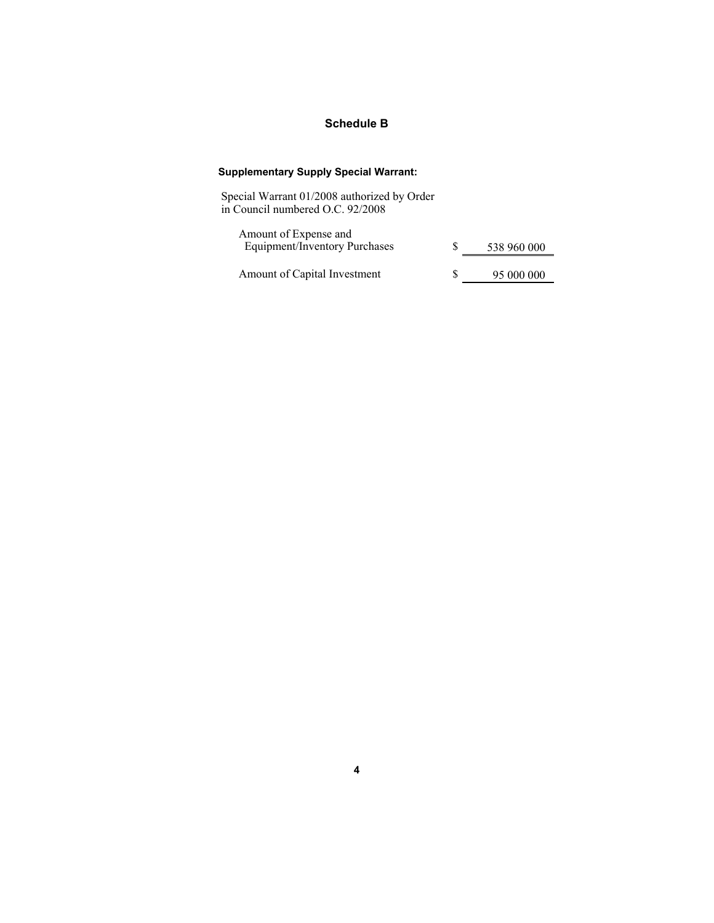## **Schedule B**

# **Supplementary Supply Special Warrant:**

Special Warrant 01/2008 authorized by Order in Council numbered O.C. 92/2008

| Amount of Expense and<br>Equipment/Inventory Purchases | 538 960 000 |  |
|--------------------------------------------------------|-------------|--|
| Amount of Capital Investment                           | 95 000 000  |  |